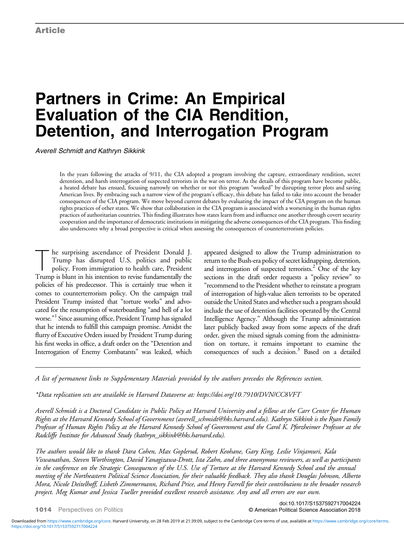# Partners in Crime: An Empirical Evaluation of the CIA Rendition, Detention, and Interrogation Program

Averell Schmidt and Kathryn Sikkink

In the years following the attacks of 9/11, the CIA adopted a program involving the capture, extraordinary rendition, secret detention, and harsh interrogation of suspected terrorists in the war on terror. As the details of this program have become public, a heated debate has ensued, focusing narrowly on whether or not this program "worked" by disrupting terror plots and saving American lives. By embracing such a narrow view of the program's efficacy, this debate has failed to take into account the broader consequences of the CIA program. We move beyond current debates by evaluating the impact of the CIA program on the human rights practices of other states. We show that collaboration in the CIA program is associated with a worsening in the human rights practices of authoritarian countries. This finding illustrates how states learn from and influence one another through covert security cooperation and the importance of democratic institutions in mitigating the adverse consequences of the CIA program. This finding also underscores why a broad perspective is critical when assessing the consequences of counterterrorism policies.

he surprising ascendance of President Donald J. Trump has disrupted U.S. politics and public policy. From immigration to health care, President Trump is blunt in his intention to revise fundamentally the policies of his predecessor. This is certainly true when it comes to counterterrorism policy. On the campaign trail President Trump insisted that "torture works" and advocated for the resumption of waterboarding "and hell of a lot worse." <sup>1</sup> Since assuming office, President Trump has signaled that he intends to fulfill this campaign promise. Amidst the flurry of Executive Orders issued by President Trump during his first weeks in office, a draft order on the "Detention and Interrogation of Enemy Combatants" was leaked, which

appeared designed to allow the Trump administration to return to the Bush-era policy of secret kidnapping, detention, and interrogation of suspected terrorists.<sup>2</sup> One of the key sections in the draft order requests a "policy review" to "recommend to the President whether to reinstate a program of interrogation of high-value alien terrorists to be operated outside the United States and whether such a program should include the use of detention facilities operated by the Central Intelligence Agency." Although the Trump administration later publicly backed away from some aspects of the draft order, given the mixed signals coming from the administration on torture, it remains important to examine the consequences of such a decision.<sup>3</sup> Based on a detailed

A list of permanent links to Supplementary Materials provided by the authors precedes the References section.

\*Data replication sets are available in Harvard Dataverse at:<https://doi.org/10.7910/DVN/CC8VFT>

Averell Schmidt is a Doctoral Candidate in Public Policy at Harvard University and a fellow at the Carr Center for Human Rights at the Harvard Kennedy School of Government [\(averell\\_schmidt@hks.harvard.edu\)](mailto:averell_schmidt@hks.harvard.edu). Kathryn Sikkink is the Ryan Family Professor of Human Rights Policy at the Harvard Kennedy School of Government and the Carol K. Pforzheimer Professor at the Radcliffe Institute for Advanced Study [\(kathryn\\_sikkink@hks.harvard.edu\)](mailto:kathryn_sikkink@hks.harvard.edu).

The authors would like to thank Dara Cohen, Max Goplerud, Robert Keohane, Gary King, Leslie Vinjamuri, Kala Viswanathan, Steven Worthington, David Yanagizawa-Drott, Ista Zahn, and three anonymous reviewers, as well as participants in the conference on the Strategic Consequences of the U.S. Use of Torture at the Harvard Kennedy School and the annual meeting of the Northeastern Political Science Association, for their valuable feedback. They also thank Douglas Johnson, Alberto Mora, Nicole Deitelhoff, Lisbeth Zimmermann, Richard Price, and Henry Farrell for their contributions to the broader research project. Meg Kumar and Jessica Tueller provided excellent research assistance. Any and all errors are our own.

1014 Perspectives on Politics

doi:10.1017/S1537592717004224 © American Political Science Association 2018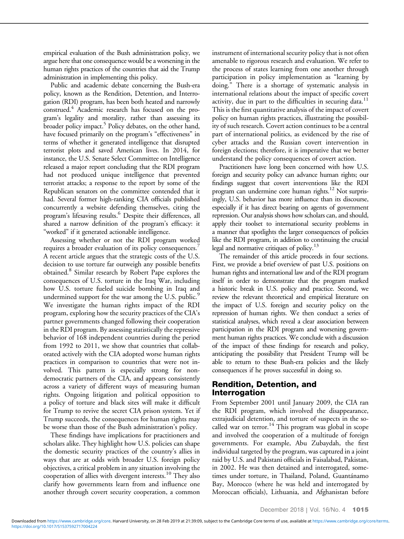empirical evaluation of the Bush administration policy, we argue here that one consequence would be a worsening in the human rights practices of the countries that aid the Trump administration in implementing this policy.

Public and academic debate concerning the Bush-era policy, known as the Rendition, Detention, and Interrogation (RDI) program, has been both heated and narrowly construed.4 Academic research has focused on the program's legality and morality, rather than assessing its broader policy impact.<sup>5</sup> Policy debates, on the other hand, have focused primarily on the program's "effectiveness" in terms of whether it generated intelligence that disrupted terrorist plots and saved American lives. In 2014, for instance, the U.S. Senate Select Committee on Intelligence released a major report concluding that the RDI program had not produced unique intelligence that prevented terrorist attacks; a response to the report by some of the Republican senators on the committee contended that it had. Several former high-ranking CIA officials published concurrently a website defending themselves, citing the program's lifesaving results.<sup>6</sup> Despite their differences, all shared a narrow definition of the program's efficacy: it "worked" if it generated actionable intelligence.

Assessing whether or not the RDI program worked requires a broader evaluation of its policy consequences.<sup>7</sup> A recent article argues that the strategic costs of the U.S. decision to use torture far outweigh any possible benefits obtained.8 Similar research by Robert Pape explores the consequences of U.S. torture in the Iraq War, including how U.S. torture fueled suicide bombing in Iraq and undermined support for the war among the U.S. public.<sup>9</sup> We investigate the human rights impact of the RDI program, exploring how the security practices of the CIA's partner governments changed following their cooperation in the RDI program. By assessing statistically the repressive behavior of 168 independent countries during the period from 1992 to 2011, we show that countries that collaborated actively with the CIA adopted worse human rights practices in comparison to countries that were not involved. This pattern is especially strong for nondemocratic partners of the CIA, and appears consistently across a variety of different ways of measuring human rights. Ongoing litigation and political opposition to a policy of torture and black sites will make it difficult for Trump to revive the secret CIA prison system. Yet if Trump succeeds, the consequences for human rights may be worse than those of the Bush administration's policy.

These findings have implications for practitioners and scholars alike. They highlight how U.S. policies can shape the domestic security practices of the country's allies in ways that are at odds with broader U.S. foreign policy objectives, a critical problem in any situation involving the cooperation of allies with divergent interests.<sup>10</sup> They also clarify how governments learn from and influence one another through covert security cooperation, a common

instrument of international security policy that is not often amenable to rigorous research and evaluation. We refer to the process of states learning from one another through participation in policy implementation as "learning by doing." There is a shortage of systematic analysis in international relations about the impact of specific covert activity, due in part to the difficulties in securing data. $11$ This is the first quantitative analysis of the impact of covert policy on human rights practices, illustrating the possibility of such research. Covert action continues to be a central part of international politics, as evidenced by the rise of cyber attacks and the Russian covert intervention in foreign elections; therefore, it is imperative that we better understand the policy consequences of covert action.

Practitioners have long been concerned with how U.S. foreign and security policy can advance human rights; our findings suggest that covert interventions like the RDI program can undermine core human rights.<sup>12</sup> Not surprisingly, U.S. behavior has more influence than its discourse, especially if it has direct bearing on agents of government repression. Our analysis shows how scholars can, and should, apply their toolset to international security problems in a manner that spotlights the larger consequences of policies like the RDI program, in addition to continuing the crucial legal and normative critiques of policy.<sup>13</sup>

The remainder of this article proceeds in four sections. First, we provide a brief overview of past U.S. positions on human rights and international law and of the RDI program itself in order to demonstrate that the program marked a historic break in U.S. policy and practice. Second, we review the relevant theoretical and empirical literature on the impact of U.S. foreign and security policy on the repression of human rights. We then conduct a series of statistical analyses, which reveal a clear association between participation in the RDI program and worsening government human rights practices. We conclude with a discussion of the impact of these findings for research and policy, anticipating the possibility that President Trump will be able to return to these Bush-era policies and the likely consequences if he proves successful in doing so.

# Rendition, Detention, and Interrogation

From September 2001 until January 2009, the CIA ran the RDI program, which involved the disappearance, extrajudicial detention, and torture of suspects in the socalled war on terror.<sup>14</sup> This program was global in scope and involved the cooperation of a multitude of foreign governments. For example, Abu Zubaydah, the first individual targeted by the program, was captured in a joint raid by U.S. and Pakistani officials in Faisalabad, Pakistan, in 2002. He was then detained and interrogated, sometimes under torture, in Thailand, Poland, Guantánamo Bay, Morocco (where he was held and interrogated by Moroccan officials), Lithuania, and Afghanistan before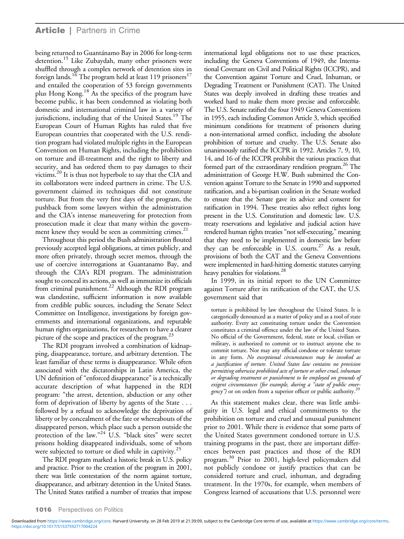being returned to Guantánamo Bay in 2006 for long-term detention.<sup>15</sup> Like Zubaydah, many other prisoners were shuffled through a complex network of detention sites in foreign lands.<sup>16</sup> The program held at least 119 prisoners<sup>17</sup> and entailed the cooperation of 53 foreign governments plus Hong Kong.<sup>18</sup> As the specifics of the program have become public, it has been condemned as violating both domestic and international criminal law in a variety of jurisdictions, including that of the United States.<sup>19</sup> The European Court of Human Rights has ruled that five European countries that cooperated with the U.S. rendition program had violated multiple rights in the European Convention on Human Rights, including the prohibition on torture and ill-treatment and the right to liberty and security, and has ordered them to pay damages to their victims.<sup>20</sup> It is thus not hyperbole to say that the CIA and its collaborators were indeed partners in crime. The U.S. government claimed its techniques did not constitute torture. But from the very first days of the program, the pushback from some lawyers within the administration and the CIA's intense maneuvering for protection from prosecution made it clear that many within the government knew they would be seen as committing crimes. $21$ 

Throughout this period the Bush administration flouted previously accepted legal obligations, at times publicly, and more often privately, through secret memos, through the use of coercive interrogations at Guantanamo Bay, and through the CIA's RDI program. The administration sought to conceal its actions, as well as immunize its officials from criminal punishment.<sup>22</sup> Although the RDI program was clandestine, sufficient information is now available from credible public sources, including the Senate Select Committee on Intelligence, investigations by foreign governments and international organizations, and reputable human rights organizations, for researchers to have a clearer picture of the scope and practices of the program.<sup>23</sup>

The RDI program involved a combination of kidnapping, disappearance, torture, and arbitrary detention. The least familiar of these terms is disappearance. While often associated with the dictatorships in Latin America, the UN definition of "enforced disappearance" is a technically accurate description of what happened in the RDI program: "the arrest, detention, abduction or any other form of deprivation of liberty by agents of the State . . . followed by a refusal to acknowledge the deprivation of liberty or by concealment of the fate or whereabouts of the disappeared person, which place such a person outside the protection of the law."<sup>24</sup> U.S. "black sites" were secret prisons holding disappeared individuals, some of whom were subjected to torture or died while in captivity.<sup>25</sup>

The RDI program marked a historic break in U.S. policy and practice. Prior to the creation of the program in 2001, there was little contestation of the norm against torture, disappearance, and arbitrary detention in the United States. The United States ratified a number of treaties that impose

international legal obligations not to use these practices, including the Geneva Conventions of 1949, the International Covenant on Civil and Political Rights (ICCPR), and the Convention against Torture and Cruel, Inhuman, or Degrading Treatment or Punishment (CAT). The United States was deeply involved in drafting these treaties and worked hard to make them more precise and enforceable. The U.S. Senate ratified the four 1949 Geneva Conventions in 1955, each including Common Article 3, which specified minimum conditions for treatment of prisoners during a non-international armed conflict, including the absolute prohibition of torture and cruelty. The U.S. Senate also unanimously ratified the ICCPR in 1992. Articles 7, 9, 10, 14, and 16 of the ICCPR prohibit the various practices that formed part of the extraordinary rendition program.<sup>26</sup> The administration of George H.W. Bush submitted the Convention against Torture to the Senate in 1990 and supported ratification, and a bi-partisan coalition in the Senate worked to ensure that the Senate gave its advice and consent for ratification in 1994. These treaties also reflect rights long present in the U.S. Constitution and domestic law. U.S. treaty reservations and legislative and judicial action have rendered human rights treaties "not self-executing," meaning that they need to be implemented in domestic law before they can be enforceable in U.S. courts.<sup>27</sup> As a result, provisions of both the CAT and the Geneva Conventions were implemented in hard-hitting domestic statutes carrying heavy penalties for violations.<sup>28</sup>

In 1999, in its initial report to the UN Committee against Torture after its ratification of the CAT, the U.S. government said that

torture is prohibited by law throughout the United States. It is categorically denounced as a matter of policy and as a tool of state authority. Every act constituting torture under the Convention constitutes a criminal offence under the law of the United States. No official of the Government, federal, state or local, civilian or military, is authorized to commit or to instruct anyone else to commit torture. Nor may any official condone or tolerate torture in any form. No exceptional circumstances may be invoked as a justification of torture. United States law contains no provision permitting otherwise prohibited acts of torture or other cruel, inhuman or degrading treatment or punishment to be employed on grounds of exigent circumstances (for example, during a "state of public emergency") or on orders from a superior officer or public authority.<sup>29</sup>

As this statement makes clear, there was little ambiguity in U.S. legal and ethical commitments to the prohibition on torture and cruel and unusual punishment prior to 2001. While there is evidence that some parts of the United States government condoned torture in U.S. training programs in the past, there are important differences between past practices and those of the RDI program.30 Prior to 2001, high-level policymakers did not publicly condone or justify practices that can be considered torture and cruel, inhuman, and degrading treatment. In the 1970s, for example, when members of Congress learned of accusations that U.S. personnel were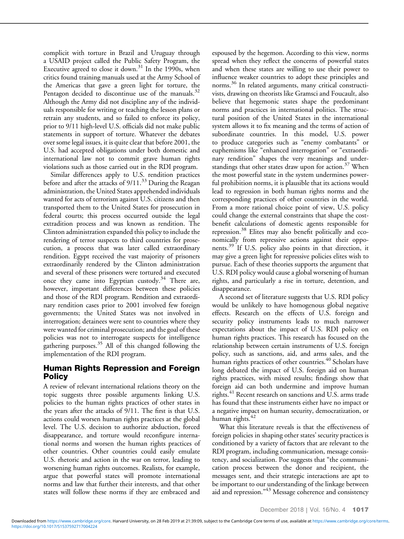complicit with torture in Brazil and Uruguay through a USAID project called the Public Safety Program, the Executive agreed to close it down.<sup>31</sup> In the 1990s, when critics found training manuals used at the Army School of the Americas that gave a green light for torture, the Pentagon decided to discontinue use of the manuals.<sup>32</sup> Although the Army did not discipline any of the individuals responsible for writing or teaching the lesson plans or retrain any students, and so failed to enforce its policy, prior to 9/11 high-level U.S. officials did not make public statements in support of torture. Whatever the debates over some legal issues, it is quite clear that before 2001, the U.S. had accepted obligations under both domestic and international law not to commit grave human rights violations such as those carried out in the RDI program.

Similar differences apply to U.S. rendition practices before and after the attacks of  $9/11.^{33}$  During the Reagan administration, the United States apprehended individuals wanted for acts of terrorism against U.S. citizens and then transported them to the United States for prosecution in federal courts; this process occurred outside the legal extradition process and was known as rendition. The Clinton administration expanded this policy to include the rendering of terror suspects to third countries for prosecution, a process that was later called extraordinary rendition. Egypt received the vast majority of prisoners extraordinarily rendered by the Clinton administration and several of these prisoners were tortured and executed once they came into Egyptian custody.<sup>34</sup> There are, however, important differences between these policies and those of the RDI program. Rendition and extraordinary rendition cases prior to 2001 involved few foreign governments; the United States was not involved in interrogation; detainees were sent to countries where they were wanted for criminal prosecution; and the goal of these policies was not to interrogate suspects for intelligence gathering purposes.35 All of this changed following the implementation of the RDI program.

# Human Rights Repression and Foreign Policy

A review of relevant international relations theory on the topic suggests three possible arguments linking U.S. policies to the human rights practices of other states in the years after the attacks of 9/11. The first is that U.S. actions could worsen human rights practices at the global level. The U.S. decision to authorize abduction, forced disappearance, and torture would reconfigure international norms and worsen the human rights practices of other countries. Other countries could easily emulate U.S. rhetoric and action in the war on terror, leading to worsening human rights outcomes. Realists, for example, argue that powerful states will promote international norms and law that further their interests, and that other states will follow these norms if they are embraced and

espoused by the hegemon. According to this view, norms spread when they reflect the concerns of powerful states and when these states are willing to use their power to influence weaker countries to adopt these principles and norms.<sup>36</sup> In related arguments, many critical constructivists, drawing on theorists like Gramsci and Foucault, also believe that hegemonic states shape the predominant norms and practices in international politics. The structural position of the United States in the international system allows it to fix meaning and the terms of action of subordinate countries. In this model, U.S. power to produce categories such as "enemy combatants" or euphemisms like "enhanced interrogation" or "extraordinary rendition" shapes the very meanings and understandings that other states draw upon for action.<sup>37</sup> When the most powerful state in the system undermines powerful prohibition norms, it is plausible that its actions would lead to regression in both human rights norms and the corresponding practices of other countries in the world. From a more rational choice point of view, U.S. policy could change the external constraints that shape the costbenefit calculations of domestic agents responsible for repression.<sup>38</sup> Elites may also benefit politically and economically from repressive actions against their opponents.<sup>39</sup> If U.S. policy also points in that direction, it may give a green light for repressive policies elites wish to pursue. Each of these theories supports the argument that U.S. RDI policy would cause a global worsening of human rights, and particularly a rise in torture, detention, and disappearance.

A second set of literature suggests that U.S. RDI policy would be unlikely to have homogenous global negative effects. Research on the effects of U.S. foreign and security policy instruments leads to much narrower expectations about the impact of U.S. RDI policy on human rights practices. This research has focused on the relationship between certain instruments of U.S. foreign policy, such as sanctions, aid, and arms sales, and the human rights practices of other countries.<sup>40</sup> Scholars have long debated the impact of U.S. foreign aid on human rights practices, with mixed results; findings show that foreign aid can both undermine and improve human rights.<sup>41</sup> Recent research on sanctions and U.S. arms trade has found that these instruments either have no impact or a negative impact on human security, democratization, or human rights.<sup>42</sup>

What this literature reveals is that the effectiveness of foreign policies in shaping other states' security practices is conditioned by a variety of factors that are relevant to the RDI program, including communication, message consistency, and socialization. Poe suggests that "the communication process between the donor and recipient, the messages sent, and their strategic interactions are apt to be important to our understanding of the linkage between aid and repression." <sup>43</sup> Message coherence and consistency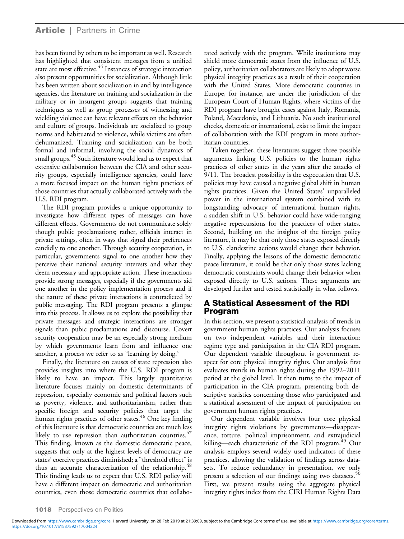has been found by others to be important as well. Research has highlighted that consistent messages from a unified state are most effective.<sup>44</sup> Instances of strategic interaction also present opportunities for socialization. Although little has been written about socialization in and by intelligence agencies, the literature on training and socialization in the military or in insurgent groups suggests that training techniques as well as group processes of witnessing and wielding violence can have relevant effects on the behavior and culture of groups. Individuals are socialized to group norms and habituated to violence, while victims are often dehumanized. Training and socialization can be both formal and informal, involving the social dynamics of small groups.<sup>45</sup> Such literature would lead us to expect that extensive collaboration between the CIA and other security groups, especially intelligence agencies, could have a more focused impact on the human rights practices of those countries that actually collaborated actively with the U.S. RDI program.

The RDI program provides a unique opportunity to investigate how different types of messages can have different effects. Governments do not communicate solely though public proclamations; rather, officials interact in private settings, often in ways that signal their preferences candidly to one another. Through security cooperation, in particular, governments signal to one another how they perceive their national security interests and what they deem necessary and appropriate action. These interactions provide strong messages, especially if the governments aid one another in the policy implementation process and if the nature of these private interactions is contradicted by public messaging. The RDI program presents a glimpse into this process. It allows us to explore the possibility that private messages and strategic interactions are stronger signals than pubic proclamations and discourse. Covert security cooperation may be an especially strong medium by which governments learn from and influence one another, a process we refer to as "learning by doing."

Finally, the literature on causes of state repression also provides insights into where the U.S. RDI program is likely to have an impact. This largely quantitative literature focuses mainly on domestic determinants of repression, especially economic and political factors such as poverty, violence, and authoritarianism, rather than specific foreign and security policies that target the human rights practices of other states.<sup>46</sup> One key finding of this literature is that democratic countries are much less likely to use repression than authoritarian countries.<sup>47</sup> This finding, known as the domestic democratic peace, suggests that only at the highest levels of democracy are states' coercive practices diminished; a "threshold effect" is thus an accurate characterization of the relationship.<sup>48</sup> This finding leads us to expect that U.S. RDI policy will have a different impact on democratic and authoritarian countries, even those democratic countries that collaborated actively with the program. While institutions may shield more democratic states from the influence of U.S. policy, authoritarian collaborators are likely to adopt worse physical integrity practices as a result of their cooperation with the United States. More democratic countries in Europe, for instance, are under the jurisdiction of the European Court of Human Rights, where victims of the RDI program have brought cases against Italy, Romania, Poland, Macedonia, and Lithuania. No such institutional checks, domestic or international, exist to limit the impact of collaboration with the RDI program in more authoritarian countries.

Taken together, these literatures suggest three possible arguments linking U.S. policies to the human rights practices of other states in the years after the attacks of 9/11. The broadest possibility is the expectation that U.S. policies may have caused a negative global shift in human rights practices. Given the United States' unparalleled power in the international system combined with its longstanding advocacy of international human rights, a sudden shift in U.S. behavior could have wide-ranging negative repercussions for the practices of other states. Second, building on the insights of the foreign policy literature, it may be that only those states exposed directly to U.S. clandestine actions would change their behavior. Finally, applying the lessons of the domestic democratic peace literature, it could be that only those states lacking democratic constraints would change their behavior when exposed directly to U.S. actions. These arguments are developed further and tested statistically in what follows.

## A Statistical Assessment of the RDI Program

In this section, we present a statistical analysis of trends in government human rights practices. Our analysis focuses on two independent variables and their interaction: regime type and participation in the CIA RDI program. Our dependent variable throughout is government respect for core physical integrity rights. Our analysis first evaluates trends in human rights during the 1992–2011 period at the global level. It then turns to the impact of participation in the CIA program, presenting both descriptive statistics concerning those who participated and a statistical assessment of the impact of participation on government human rights practices.

Our dependent variable involves four core physical integrity rights violations by governments—disappearance, torture, political imprisonment, and extrajudicial killing—each characteristic of the RDI program.<sup>49</sup> Our analysis employs several widely used indicators of these practices, allowing the validation of findings across datasets. To reduce redundancy in presentation, we only present a selection of our findings using two datasets.<sup>50</sup> First, we present results using the aggregate physical integrity rights index from the CIRI Human Rights Data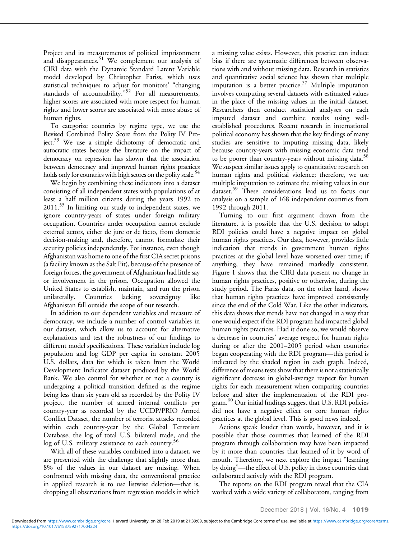Project and its measurements of political imprisonment and disappearances.<sup>51</sup> We complement our analysis of CIRI data with the Dynamic Standard Latent Variable model developed by Christopher Fariss, which uses statistical techniques to adjust for monitors' "changing standards of accountability."<sup>52</sup> For all measurements, higher scores are associated with more respect for human rights and lower scores are associated with more abuse of human rights.

To categorize countries by regime type, we use the Revised Combined Polity Score from the Polity IV Project.<sup>53</sup> We use a simple dichotomy of democratic and autocratic states because the literature on the impact of democracy on repression has shown that the association between democracy and improved human rights practices holds only for countries with high scores on the polity scale. $54$ 

We begin by combining these indicators into a dataset consisting of all independent states with populations of at least a half million citizens during the years 1992 to 2011.55 In limiting our study to independent states, we ignore country-years of states under foreign military occupation. Countries under occupation cannot exclude external actors, either de jure or de facto, from domestic decision-making and, therefore, cannot formulate their security policies independently. For instance, even though Afghanistan was home to one of the first CIA secret prisons (a facility known as the Salt Pit), because of the presence of foreign forces, the government of Afghanistan had little say or involvement in the prison. Occupation allowed the United States to establish, maintain, and run the prison unilaterally. Countries lacking sovereignty like Afghanistan fall outside the scope of our research.

In addition to our dependent variables and measure of democracy, we include a number of control variables in our dataset, which allow us to account for alternative explanations and test the robustness of our findings to different model specifications. These variables include log population and log GDP per capita in constant 2005 U.S. dollars, data for which is taken from the World Development Indicator dataset produced by the World Bank. We also control for whether or not a country is undergoing a political transition defined as the regime being less than six years old as recorded by the Polity IV project, the number of armed internal conflicts per country-year as recorded by the UCDP/PRIO Armed Conflict Dataset, the number of terrorist attacks recorded within each country-year by the Global Terrorism Database, the log of total U.S. bilateral trade, and the log of U.S. military assistance to each country.<sup>56</sup>

With all of these variables combined into a dataset, we are presented with the challenge that slightly more than 8% of the values in our dataset are missing. When confronted with missing data, the conventional practice in applied research is to use listwise deletion—that is, dropping all observations from regression models in which

a missing value exists. However, this practice can induce bias if there are systematic differences between observations with and without missing data. Research in statistics and quantitative social science has shown that multiple imputation is a better practice.<sup>57</sup> Multiple imputation involves computing several datasets with estimated values in the place of the missing values in the initial dataset. Researchers then conduct statistical analyses on each imputed dataset and combine results using wellestablished procedures. Recent research in international political economy has shown that the key findings of many studies are sensitive to imputing missing data, likely because country-years with missing economic data tend to be poorer than country-years without missing data.<sup>58</sup> We suspect similar issues apply to quantitative research on human rights and political violence; therefore, we use multiple imputation to estimate the missing values in our dataset.<sup>59</sup> These considerations lead us to focus our analysis on a sample of 168 independent countries from 1992 through 2011.

Turning to our first argument drawn from the literature, it is possible that the U.S. decision to adopt RDI policies could have a negative impact on global human rights practices. Our data, however, provides little indication that trends in government human rights practices at the global level have worsened over time; if anything, they have remained markedly consistent. Figure 1 shows that the CIRI data present no change in human rights practices, positive or otherwise, during the study period. The Fariss data, on the other hand, shows that human rights practices have improved consistently since the end of the Cold War. Like the other indicators, this data shows that trends have not changed in a way that one would expect if the RDI program had impacted global human rights practices. Had it done so, we would observe a decrease in countries' average respect for human rights during or after the 2001–2005 period when countries began cooperating with the RDI program—this period is indicated by the shaded region in each graph. Indeed, difference of means tests show that there is not a statistically significant decrease in global-average respect for human rights for each measurement when comparing countries before and after the implementation of the RDI program. <sup>60</sup> Our initial findings suggest that U.S. RDI policies did not have a negative effect on core human rights practices at the global level. This is good news indeed.

Actions speak louder than words, however, and it is possible that those countries that learned of the RDI program through collaboration may have been impacted by it more than countries that learned of it by word of mouth. Therefore, we next explore the impact "learning by doing"—the effect of U.S. policy in those countries that collaborated actively with the RDI program.

The reports on the RDI program reveal that the CIA worked with a wide variety of collaborators, ranging from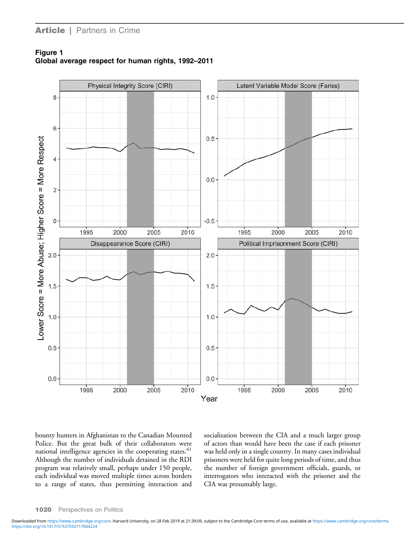



bounty hunters in Afghanistan to the Canadian Mounted Police. But the great bulk of their collaborators were national intelligence agencies in the cooperating states.<sup>61</sup> Although the number of individuals detained in the RDI program was relatively small, perhaps under 150 people, each individual was moved multiple times across borders to a range of states, thus permitting interaction and socialization between the CIA and a much larger group of actors than would have been the case if each prisoner was held only in a single country. In many cases individual prisoners were held for quite long periods of time, and thus the number of foreign government officials, guards, or interrogators who interacted with the prisoner and the CIA was presumably large.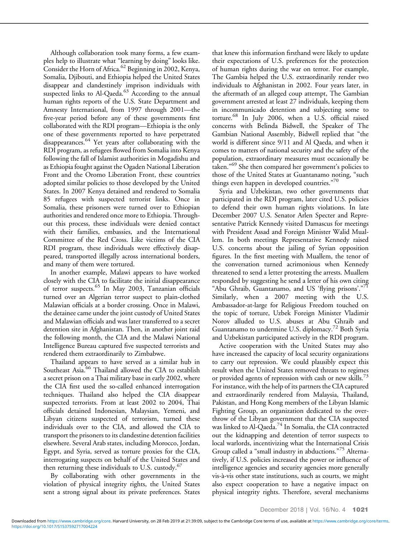Although collaboration took many forms, a few examples help to illustrate what "learning by doing" looks like. Consider the Horn of Africa.<sup>62</sup> Beginning in 2002, Kenya, Somalia, Djibouti, and Ethiopia helped the United States disappear and clandestinely imprison individuals with suspected links to Al-Qaeda.<sup>63</sup> According to the annual human rights reports of the U.S. State Department and Amnesty International, from 1997 through 2001—the five-year period before any of these governments first collaborated with the RDI program—Ethiopia is the only one of these governments reported to have perpetrated disappearances.<sup>64</sup> Yet years after collaborating with the RDI program, as refugees flowed from Somalia into Kenya following the fall of Islamist authorities in Mogadishu and as Ethiopia fought against the Ogaden National Liberation Front and the Oromo Liberation Front, these countries adopted similar policies to those developed by the United States. In 2007 Kenya detained and rendered to Somalia 85 refugees with suspected terrorist links. Once in Somalia, these prisoners were turned over to Ethiopian authorities and rendered once more to Ethiopia. Throughout this process, these individuals were denied contact with their families, embassies, and the International Committee of the Red Cross. Like victims of the CIA RDI program, these individuals were effectively disappeared, transported illegally across international borders, and many of them were tortured.

In another example, Malawi appears to have worked closely with the CIA to facilitate the initial disappearance of terror suspects.<sup>65</sup> In May 2003, Tanzanian officials turned over an Algerian terror suspect to plain-clothed Malawian officials at a border crossing. Once in Malawi, the detainee came under the joint custody of United States and Malawian officials and was later transferred to a secret detention site in Afghanistan. Then, in another joint raid the following month, the CIA and the Malawi National Intelligence Bureau captured five suspected terrorists and rendered them extraordinarily to Zimbabwe.

Thailand appears to have served as a similar hub in Southeast Asia.<sup>66</sup> Thailand allowed the CIA to establish a secret prison on a Thai military base in early 2002, where the CIA first used the so-called enhanced interrogation techniques. Thailand also helped the CIA disappear suspected terrorists. From at least 2002 to 2004, Thai officials detained Indonesian, Malaysian, Yemeni, and Libyan citizens suspected of terrorism, turned these individuals over to the CIA, and allowed the CIA to transport the prisoners to its clandestine detention facilities elsewhere. Several Arab states, including Morocco, Jordan, Egypt, and Syria, served as torture proxies for the CIA, interrogating suspects on behalf of the United States and then returning these individuals to U.S. custody.<sup>67</sup>

By collaborating with other governments in the violation of physical integrity rights, the United States sent a strong signal about its private preferences. States

that knew this information firsthand were likely to update their expectations of U.S. preferences for the protection of human rights during the war on terror. For example, The Gambia helped the U.S. extraordinarily render two individuals to Afghanistan in 2002. Four years later, in the aftermath of an alleged coup attempt, The Gambian government arrested at least 27 individuals, keeping them in incommunicado detention and subjecting some to torture.<sup>68</sup> In July 2006, when a U.S. official raised concerns with Belinda Bidwell, the Speaker of The Gambian National Assembly, Bidwell replied that "the world is different since 9/11 and Al Qaeda, and when it comes to matters of national security and the safety of the population, extraordinary measures must occasionally be taken."<sup>69</sup> She then compared her government's policies to those of the United States at Guantanamo noting, "such things even happen in developed countries."<sup>70</sup>

Syria and Uzbekistan, two other governments that participated in the RDI program, later cited U.S. policies to defend their own human rights violations. In late December 2007 U.S. Senator Arlen Specter and Representative Patrick Kennedy visited Damascus for meetings with President Assad and Foreign Minister Walid Muallem. In both meetings Representative Kennedy raised U.S. concerns about the jailing of Syrian opposition figures. In the first meeting with Muallem, the tenor of the conversation turned acrimonious when Kennedy threatened to send a letter protesting the arrests. Muallem responded by suggesting he send a letter of his own citing "Abu Ghraib, Guantanamo, and US 'flying prisons'."<sup>71</sup> Similarly, when a 2007 meeting with the U.S. Ambassador-at-large for Religious Freedom touched on the topic of torture, Uzbek Foreign Minister Vladimir Norov alluded to U.S. abuses at Abu Ghraib and Guantanamo to undermine U.S. diplomacy.<sup>72</sup> Both Syria and Uzbekistan participated actively in the RDI program.

Active cooperation with the United States may also have increased the capacity of local security organizations to carry out repression. We could plausibly expect this result when the United States removed threats to regimes or provided agents of repression with cash or new skills.<sup>73</sup> For instance, with the help of its partners the CIA captured and extraordinarily rendered from Malaysia, Thailand, Pakistan, and Hong Kong members of the Libyan Islamic Fighting Group, an organization dedicated to the overthrow of the Libyan government that the CIA suspected was linked to Al-Qaeda.<sup>74</sup> In Somalia, the CIA contracted out the kidnapping and detention of terror suspects to local warlords, incentivizing what the International Crisis Group called a "small industry in abductions." <sup>75</sup> Alternatively, if U.S. policies increased the power or influence of intelligence agencies and security agencies more generally vis-à-vis other state institutions, such as courts, we might also expect cooperation to have a negative impact on physical integrity rights. Therefore, several mechanisms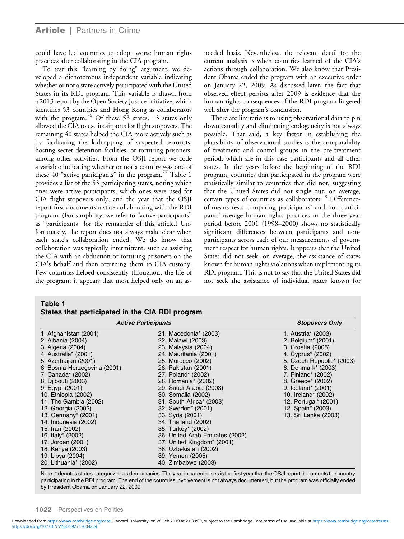could have led countries to adopt worse human rights practices after collaborating in the CIA program.

To test this "learning by doing" argument, we developed a dichotomous independent variable indicating whether or not a state actively participated with the United States in its RDI program. This variable is drawn from a 2013 report by the Open Society Justice Initiative, which identifies 53 countries and Hong Kong as collaborators with the program.<sup>76</sup> Of these 53 states, 13 states only allowed the CIA to use its airports for flight stopovers. The remaining 40 states helped the CIA more actively such as by facilitating the kidnapping of suspected terrorists, hosting secret detention facilities, or torturing prisoners, among other activities. From the OSJI report we code a variable indicating whether or not a country was one of these 40 "active participants" in the program. $^{77}$  Table 1 provides a list of the 53 participating states, noting which ones were active participants, which ones were used for CIA flight stopovers only, and the year that the OSJI report first documents a state collaborating with the RDI program. (For simplicity, we refer to "active participants" as "participants" for the remainder of this article.) Unfortunately, the report does not always make clear when each state's collaboration ended. We do know that collaboration was typically intermittent, such as assisting the CIA with an abduction or torturing prisoners on the CIA's behalf and then returning them to CIA custody. Few countries helped consistently throughout the life of the program; it appears that most helped only on an asneeded basis. Nevertheless, the relevant detail for the current analysis is when countries learned of the CIA's actions through collaboration. We also know that President Obama ended the program with an executive order on January 22, 2009. As discussed later, the fact that observed effect persists after 2009 is evidence that the human rights consequences of the RDI program lingered well after the program's conclusion.

There are limitations to using observational data to pin down causality and eliminating endogeneity is not always possible. That said, a key factor in establishing the plausibility of observational studies is the comparability of treatment and control groups in the pre-treatment period, which are in this case participants and all other states. In the years before the beginning of the RDI program, countries that participated in the program were statistically similar to countries that did not, suggesting that the United States did not single out, on average, certain types of countries as collaborators.<sup>78</sup> Differenceof-means tests comparing participants' and non-participants' average human rights practices in the three year period before 2001 (1998–2000) shows no statistically significant differences between participants and nonparticipants across each of our measurements of government respect for human rights. It appears that the United States did not seek, on average, the assistance of states known for human rights violations when implementing its RDI program. This is not to say that the United States did not seek the assistance of individual states known for

| Table T<br>States that participated in the CIA RDI program                                                                                                                                                                                                                                                                                                                                                                                                       |                                                                                                                                                                                                                                                                                                                                                                                                                                                                                               |                                                                                                                                                                                                                                                                                                                |  |  |  |  |  |
|------------------------------------------------------------------------------------------------------------------------------------------------------------------------------------------------------------------------------------------------------------------------------------------------------------------------------------------------------------------------------------------------------------------------------------------------------------------|-----------------------------------------------------------------------------------------------------------------------------------------------------------------------------------------------------------------------------------------------------------------------------------------------------------------------------------------------------------------------------------------------------------------------------------------------------------------------------------------------|----------------------------------------------------------------------------------------------------------------------------------------------------------------------------------------------------------------------------------------------------------------------------------------------------------------|--|--|--|--|--|
| <b>Active Participants</b>                                                                                                                                                                                                                                                                                                                                                                                                                                       | <b>Stopovers Only</b>                                                                                                                                                                                                                                                                                                                                                                                                                                                                         |                                                                                                                                                                                                                                                                                                                |  |  |  |  |  |
| 1. Afghanistan (2001)<br>2. Albania (2004)<br>3. Algeria (2004)<br>4. Australia* (2001)<br>5. Azerbaijan (2001)<br>6. Bosnia-Herzegovina (2001)<br>7. Canada* (2002)<br>8. Djibouti (2003)<br>9. Egypt (2001)<br>10. Ethiopia (2002)<br>11. The Gambia (2002)<br>12. Georgia (2002)<br>13. Germany* (2001)<br>14. Indonesia (2002)<br>15. Iran (2002)<br>16. Italy* (2002)<br>17. Jordan (2001)<br>18. Kenya (2003)<br>19. Libya (2004)<br>20. Lithuania* (2002) | 21. Macedonia* (2003)<br>22. Malawi (2003)<br>23. Malaysia (2004)<br>24. Mauritania (2001)<br>25. Morocco (2002)<br>26. Pakistan (2001)<br>27. Poland* (2002)<br>28. Romania* (2002)<br>29. Saudi Arabia (2003)<br>30. Somalia (2002)<br>31. South Africa* (2003)<br>32. Sweden* (2001)<br>33. Syria (2001)<br>34. Thailand (2002)<br>35. Turkey* (2002)<br>36. United Arab Emirates (2002)<br>37. United Kingdom* (2001)<br>38. Uzbekistan (2002)<br>39. Yemen (2005)<br>40. Zimbabwe (2003) | 1. Austria* (2003)<br>2. Belgium* (2001)<br>3. Croatia (2005)<br>4. Cyprus <sup>*</sup> (2002)<br>5. Czech Republic* (2003)<br>6. Denmark* (2003)<br>7. Finland* (2002)<br>8. Greece* (2002)<br>9. Iceland* (2001)<br>10. Ireland* (2002)<br>12. Portugal* (2001)<br>12. Spain* (2003)<br>13. Sri Lanka (2003) |  |  |  |  |  |

Note: \* denotes states categorized as democracies. The year in parentheses is the first year that the OSJI report documents the country participating in the RDI program. The end of the countries involvement is not always documented, but the program was officially ended by President Obama on January 22, 2009.

#### 1022 Perspectives on Politics

Table 1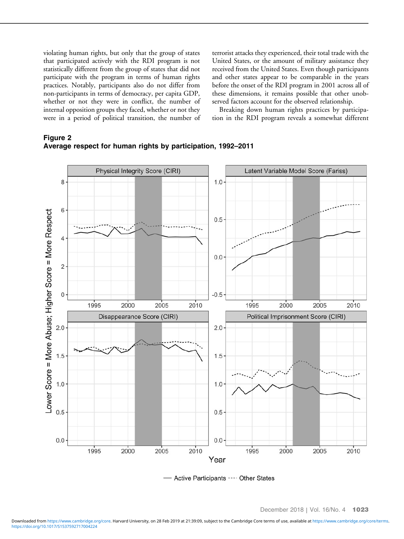violating human rights, but only that the group of states that participated actively with the RDI program is not statistically different from the group of states that did not participate with the program in terms of human rights practices. Notably, participants also do not differ from non-participants in terms of democracy, per capita GDP, whether or not they were in conflict, the number of internal opposition groups they faced, whether or not they were in a period of political transition, the number of

terrorist attacks they experienced, their total trade with the United States, or the amount of military assistance they received from the United States. Even though participants and other states appear to be comparable in the years before the onset of the RDI program in 2001 across all of these dimensions, it remains possible that other unobserved factors account for the observed relationship.

Breaking down human rights practices by participation in the RDI program reveals a somewhat different





- Active Participants ---- Other States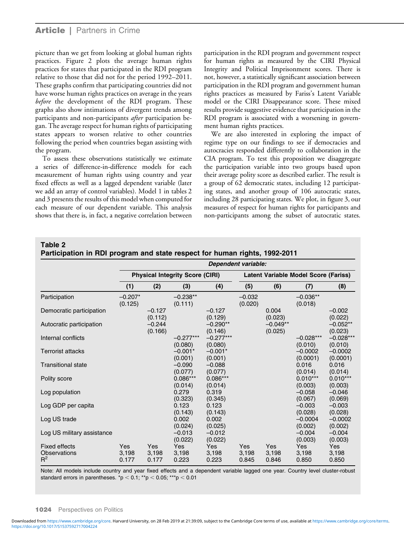picture than we get from looking at global human rights practices. Figure 2 plots the average human rights practices for states that participated in the RDI program relative to those that did not for the period 1992–2011. These graphs confirm that participating countries did not have worse human rights practices on average in the years before the development of the RDI program. These graphs also show intimations of divergent trends among participants and non-participants *after* participation began. The average respect for human rights of participating states appears to worsen relative to other countries following the period when countries began assisting with the program.

To assess these observations statistically we estimate a series of difference-in-difference models for each measurement of human rights using country and year fixed effects as well as a lagged dependent variable (later we add an array of control variables). Model 1 in tables 2 and 3 presents the results of this model when computed for each measure of our dependent variable. This analysis shows that there is, in fact, a negative correlation between

participation in the RDI program and government respect for human rights as measured by the CIRI Physical Integrity and Political Imprisonment scores. There is not, however, a statistically significant association between participation in the RDI program and government human rights practices as measured by Fariss's Latent Variable model or the CIRI Disappearance score. These mixed results provide suggestive evidence that participation in the RDI program is associated with a worsening in government human rights practices.

We are also interested in exploring the impact of regime type on our findings to see if democracies and autocracies responded differently to collaboration in the CIA program. To test this proposition we disaggregate the participation variable into two groups based upon their average polity score as described earlier. The result is a group of 62 democratic states, including 12 participating states, and another group of 106 autocratic states, including 28 participating states. We plot, in figure 3, our measures of respect for human rights for participants and non-participants among the subset of autocratic states.

#### Table 2

|                            | Dependent variable:                    |                     |                        |                                             |                     |                       |                        |                        |
|----------------------------|----------------------------------------|---------------------|------------------------|---------------------------------------------|---------------------|-----------------------|------------------------|------------------------|
|                            | <b>Physical Integrity Score (CIRI)</b> |                     |                        | <b>Latent Variable Model Score (Fariss)</b> |                     |                       |                        |                        |
|                            | (1)                                    | (2)                 | (3)                    | (4)                                         | (5)                 | (6)                   | (7)                    | (8)                    |
| Participation              | $-0.207*$<br>(0.125)                   |                     | $-0.238**$<br>(0.111)  |                                             | $-0.032$<br>(0.020) |                       | $-0.036**$<br>(0.018)  |                        |
| Democratic participation   |                                        | $-0.127$<br>(0.112) |                        | $-0.127$<br>(0.129)                         |                     | 0.004<br>(0.023)      |                        | $-0.002$<br>(0.022)    |
| Autocratic participation   |                                        | $-0.244$<br>(0.166) |                        | $-0.290**$<br>(0.146)                       |                     | $-0.049**$<br>(0.025) |                        | $-0.052**$<br>(0.023)  |
| Internal conflicts         |                                        |                     | $-0.277***$<br>(0.080) | $-0.277***$<br>(0.080)                      |                     |                       | $-0.028***$<br>(0.010) | $-0.028***$<br>(0.010) |
| <b>Terrorist attacks</b>   |                                        |                     | $-0.001*$<br>(0.001)   | $-0.001*$<br>(0.001)                        |                     |                       | $-0.0002$<br>(0.0001)  | $-0.0002$<br>(0.0001)  |
| <b>Transitional state</b>  |                                        |                     | $-0.090$<br>(0.077)    | $-0.088$<br>(0.077)                         |                     |                       | 0.016<br>(0.014)       | 0.016<br>(0.014)       |
| Polity score               |                                        |                     | $0.086***$<br>(0.014)  | $0.086***$<br>(0.014)                       |                     |                       | $0.010***$<br>(0.003)  | $0.010***$<br>(0.003)  |
| Log population             |                                        |                     | 0.279<br>(0.323)       | 0.319<br>(0.345)                            |                     |                       | $-0.058$<br>(0.067)    | $-0.046$<br>(0.069)    |
| Log GDP per capita         |                                        |                     | 0.123<br>(0.143)       | 0.123<br>(0.143)                            |                     |                       | $-0.003$<br>(0.028)    | $-0.003$<br>(0.028)    |
| Log US trade               |                                        |                     | 0.002<br>(0.024)       | 0.002<br>(0.025)                            |                     |                       | $-0.0004$<br>(0.002)   | $-0.0002$<br>(0.002)   |
| Log US military assistance |                                        |                     | $-0.013$<br>(0.022)    | $-0.012$<br>(0.022)                         |                     |                       | $-0.004$<br>(0.003)    | $-0.004$<br>(0.003)    |
| <b>Fixed effects</b>       | Yes                                    | Yes                 | Yes                    | Yes                                         | Yes                 | Yes                   | Yes                    | Yes                    |
| Observations<br>$R^2$      | 3,198<br>0.177                         | 3,198<br>0.177      | 3,198<br>0.223         | 3,198<br>0.223                              | 3,198<br>0.845      | 3,198<br>0.846        | 3,198<br>0.850         | 3,198<br>0.850         |

## Participation in RDI program and state respect for human rights, 1992-2011

Note: All models include country and year fixed effects and a dependent variable lagged one year. Country level cluster-robust standard errors in parentheses. \*p < 0.1; \*\*p < 0.05; \*\*\*p < 0.01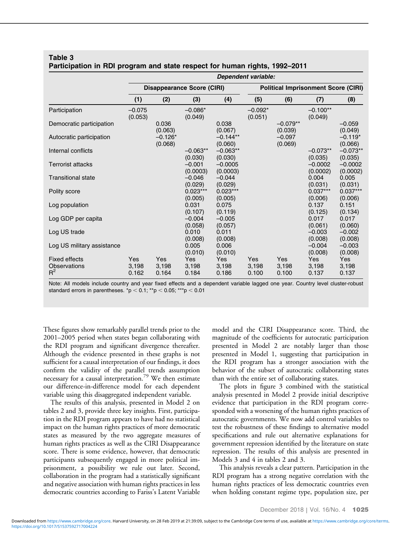|                            | Dependent variable:               |                      |                       |                                            |                      |                       |                       |                       |
|----------------------------|-----------------------------------|----------------------|-----------------------|--------------------------------------------|----------------------|-----------------------|-----------------------|-----------------------|
|                            | <b>Disappearance Score (CIRI)</b> |                      |                       | <b>Political Imprisonment Score (CIRI)</b> |                      |                       |                       |                       |
|                            | (1)                               | (2)                  | (3)                   | (4)                                        | (5)                  | (6)                   | (7)                   | (8)                   |
| Participation              | $-0.075$<br>(0.053)               |                      | $-0.086*$<br>(0.049)  |                                            | $-0.092*$<br>(0.051) |                       | $-0.100**$<br>(0.049) |                       |
| Democratic participation   |                                   | 0.036<br>(0.063)     |                       | 0.038<br>(0.067)                           |                      | $-0.079**$<br>(0.039) |                       | $-0.059$<br>(0.049)   |
| Autocratic participation   |                                   | $-0.126*$<br>(0.068) |                       | $-0.144**$<br>(0.060)                      |                      | $-0.097$<br>(0.069)   |                       | $-0.119*$<br>(0.066)  |
| Internal conflicts         |                                   |                      | $-0.063**$<br>(0.030) | $-0.063**$<br>(0.030)                      |                      |                       | $-0.073**$<br>(0.035) | $-0.073**$<br>(0.035) |
| <b>Terrorist attacks</b>   |                                   |                      | $-0.001$<br>(0.0003)  | $-0.0005$<br>(0.0003)                      |                      |                       | $-0.0002$<br>(0.0002) | $-0.0002$<br>(0.0002) |
| <b>Transitional state</b>  |                                   |                      | $-0.046$<br>(0.029)   | $-0.044$<br>(0.029)                        |                      |                       | 0.004<br>(0.031)      | 0.005<br>(0.031)      |
| Polity score               |                                   |                      | $0.023***$<br>(0.005) | $0.023***$<br>(0.005)                      |                      |                       | $0.037***$<br>(0.006) | $0.037***$<br>(0.006) |
| Log population             |                                   |                      | 0.031<br>(0.107)      | 0.075<br>(0.119)                           |                      |                       | 0.137<br>(0.125)      | 0.151<br>(0.134)      |
| Log GDP per capita         |                                   |                      | $-0.004$<br>(0.058)   | $-0.005$<br>(0.057)                        |                      |                       | 0.017<br>(0.061)      | 0.017<br>(0.060)      |
| Log US trade               |                                   |                      | 0.010<br>(0.008)      | 0.011<br>(0.008)                           |                      |                       | $-0.003$<br>(0.008)   | $-0.002$<br>(0.008)   |
| Log US military assistance |                                   |                      | 0.005<br>(0.010)      | 0.006<br>(0.010)                           |                      |                       | $-0.004$<br>(0.008)   | $-0.003$<br>(0.008)   |
| <b>Fixed effects</b>       | Yes                               | Yes                  | Yes                   | Yes                                        | Yes                  | <b>Yes</b>            | Yes                   | <b>Yes</b>            |
| Observations<br>$R^2$      | 3,198<br>0.162                    | 3,198<br>0.164       | 3,198<br>0.184        | 3,198<br>0.186                             | 3,198<br>0.100       | 3,198<br>0.100        | 3,198<br>0.137        | 3,198<br>0.137        |

### Table 3 Participation in RDI program and state respect for human rights, 1992–2011

Note: All models include country and year fixed effects and a dependent variable lagged one year. Country level cluster-robust standard errors in parentheses.  $p < 0.1$ ; \*\*p  $< 0.05$ ; \*\*\*p  $< 0.01$ 

These figures show remarkably parallel trends prior to the 2001–2005 period when states began collaborating with the RDI program and significant divergence thereafter. Although the evidence presented in these graphs is not sufficient for a causal interpretation of our findings, it does confirm the validity of the parallel trends assumption necessary for a causal interpretation.79 We then estimate our difference-in-difference model for each dependent variable using this disaggregated independent variable.

The results of this analysis, presented in Model 2 on tables 2 and 3, provide three key insights. First, participation in the RDI program appears to have had no statistical impact on the human rights practices of more democratic states as measured by the two aggregate measures of human rights practices as well as the CIRI Disappearance score. There is some evidence, however, that democratic participants subsequently engaged in more political imprisonment, a possibility we rule out later. Second, collaboration in the program had a statistically significant and negative association with human rights practices in less democratic countries according to Fariss's Latent Variable

model and the CIRI Disappearance score. Third, the magnitude of the coefficients for autocratic participation presented in Model 2 are notably larger than those presented in Model 1, suggesting that participation in the RDI program has a stronger association with the behavior of the subset of autocratic collaborating states than with the entire set of collaborating states.

The plots in figure 3 combined with the statistical analysis presented in Model 2 provide initial descriptive evidence that participation in the RDI program corresponded with a worsening of the human rights practices of autocratic governments. We now add control variables to test the robustness of these findings to alternative model specifications and rule out alternative explanations for government repression identified by the literature on state repression. The results of this analysis are presented in Models 3 and 4 in tables 2 and 3.

This analysis reveals a clear pattern. Participation in the RDI program has a strong negative correlation with the human rights practices of less democratic countries even when holding constant regime type, population size, per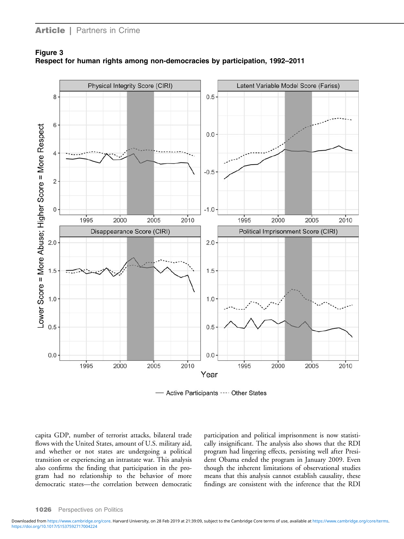

Figure 3 Respect for human rights among non-democracies by participation, 1992–2011

Active Participants ---- Other States

capita GDP, number of terrorist attacks, bilateral trade flows with the United States, amount of U.S. military aid, and whether or not states are undergoing a political transition or experiencing an intrastate war. This analysis also confirms the finding that participation in the program had no relationship to the behavior of more democratic states—the correlation between democratic participation and political imprisonment is now statistically insignificant. The analysis also shows that the RDI program had lingering effects, persisting well after President Obama ended the program in January 2009. Even though the inherent limitations of observational studies means that this analysis cannot establish causality, these findings are consistent with the inference that the RDI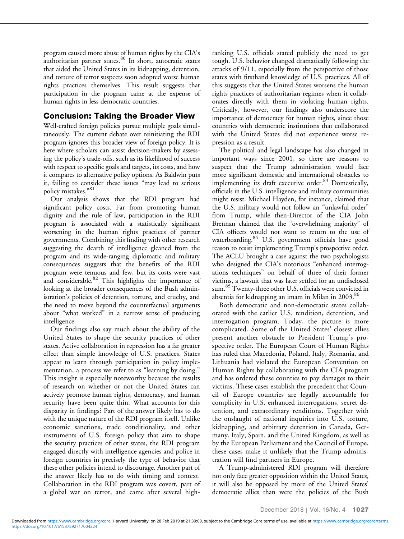program caused more abuse of human rights by the CIA's authoritarian partner states.<sup>80</sup> In short, autocratic states that aided the United States in its kidnapping, detention, and torture of terror suspects soon adopted worse human rights practices themselves. This result suggests that participation in the program came at the expense of human rights in less democratic countries.

# Conclusion: Taking the Broader View

Well-crafted foreign policies pursue multiple goals simultaneously. The current debate over reinitiating the RDI program ignores this broader view of foreign policy. It is here where scholars can assist decision-makers by assessing the policy's trade-offs, such as its likelihood of success with respect to specific goals and targets, its costs, and how it compares to alternative policy options. As Baldwin puts it, failing to consider these issues "may lead to serious policy mistakes." 81

Our analysis shows that the RDI program had significant policy costs. Far from promoting human dignity and the rule of law, participation in the RDI program is associated with a statistically significant worsening in the human rights practices of partner governments. Combining this finding with other research suggesting the dearth of intelligence gleaned from the program and its wide-ranging diplomatic and military consequences suggests that the benefits of the RDI program were tenuous and few, but its costs were vast and considerable.<sup>82</sup> This highlights the importance of looking at the broader consequences of the Bush administration's policies of detention, torture, and cruelty, and the need to move beyond the counterfactual arguments about "what worked" in a narrow sense of producing intelligence.

Our findings also say much about the ability of the United States to shape the security practices of other states. Active collaboration in repression has a far greater effect than simple knowledge of U.S. practices. States appear to learn through participation in policy implementation, a process we refer to as "learning by doing." This insight is especially noteworthy because the results of research on whether or not the United States can actively promote human rights, democracy, and human security have been quite thin. What accounts for this disparity in findings? Part of the answer likely has to do with the unique nature of the RDI program itself. Unlike economic sanctions, trade conditionality, and other instruments of U.S. foreign policy that aim to shape the security practices of other states, the RDI program engaged directly with intelligence agencies and police in foreign countries in precisely the type of behavior that these other policies intend to discourage. Another part of the answer likely has to do with timing and context. Collaboration in the RDI program was covert, part of a global war on terror, and came after several highranking U.S. officials stated publicly the need to get tough. U.S. behavior changed dramatically following the attacks of 9/11, especially from the perspective of those states with firsthand knowledge of U.S. practices. All of this suggests that the United States worsens the human rights practices of authoritarian regimes when it collaborates directly with them in violating human rights. Critically, however, our findings also underscore the importance of democracy for human rights, since those countries with democratic institutions that collaborated with the United States did not experience worse repression as a result.

The political and legal landscape has also changed in important ways since 2001, so there are reasons to suspect that the Trump administration would face more significant domestic and international obstacles to implementing its draft executive order.<sup>83</sup> Domestically, officials in the U.S. intelligence and military communities might resist. Michael Hayden, for instance, claimed that the U.S. military would not follow an "unlawful order" from Trump, while then-Director of the CIA John Brennan claimed that the "overwhelming majority" of CIA officers would not want to return to the use of waterboarding.<sup>84</sup> U.S. government officials have good reason to resist implementing Trump's prospective order. The ACLU brought a case against the two psychologists who designed the CIA's notorious "enhanced interrogations techniques" on behalf of three of their former victims, a lawsuit that was later settled for an undisclosed sum.<sup>85</sup> Twenty-three other U.S. officials were convicted in absentia for kidnapping an imam in Milan in 2003.<sup>86</sup>

Both democratic and non-democratic states collaborated with the earlier U.S. rendition, detention, and interrogation program. Today, the picture is more complicated. Some of the United States' closest allies present another obstacle to President Trump's prospective order. The European Court of Human Rights has ruled that Macedonia, Poland, Italy, Romania, and Lithuania had violated the European Convention on Human Rights by collaborating with the CIA program and has ordered these counties to pay damages to their victims. These cases establish the precedent that Council of Europe countries are legally accountable for complicity in U.S. enhanced interrogations, secret detention, and extraordinary renditions. Together with the onslaught of national inquiries into U.S. torture, kidnapping, and arbitrary detention in Canada, Germany, Italy, Spain, and the United Kingdom, as well as by the European Parliament and the Council of Europe, these cases make it unlikely that the Trump administration will find partners in Europe.

A Trump-administered RDI program will therefore not only face greater opposition within the United States, it will also be opposed by more of the United States' democratic allies than were the policies of the Bush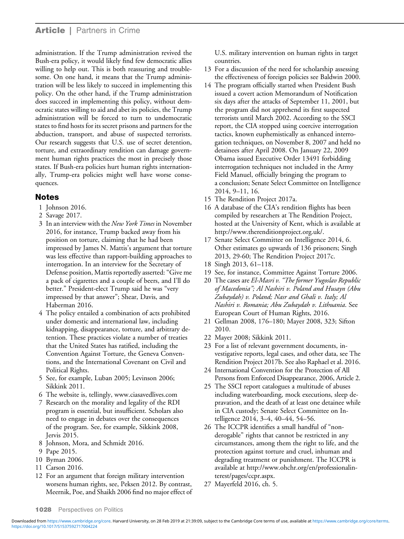administration. If the Trump administration revived the Bush-era policy, it would likely find few democratic allies willing to help out. This is both reassuring and troublesome. On one hand, it means that the Trump administration will be less likely to succeed in implementing this policy. On the other hand, if the Trump administration does succeed in implementing this policy, without democratic states willing to aid and abet its policies, the Trump administration will be forced to turn to undemocratic states to find hosts for its secret prisons and partners for the abduction, transport, and abuse of suspected terrorists. Our research suggests that U.S. use of secret detention, torture, and extraordinary rendition can damage government human rights practices the most in precisely those states. If Bush-era policies hurt human rights internationally, Trump-era policies might well have worse consequences.

## Notes

- 1 Johnson 2016.
- 2 Savage 2017.
- 3 In an interview with the New York Times in November 2016, for instance, Trump backed away from his position on torture, claiming that he had been impressed by James N. Mattis's argument that torture was less effective than rapport-building approaches to interrogation. In an interview for the Secretary of Defense position, Mattis reportedly asserted:"Give me a pack of cigarettes and a couple of beers, and I'll do better." President-elect Trump said he was "very impressed by that answer"; Shear, Davis, and Haberman 2016.
- 4 The policy entailed a combination of acts prohibited under domestic and international law, including kidnapping, disappearance, torture, and arbitrary detention. These practices violate a number of treaties that the United States has ratified, including the Convention Against Torture, the Geneva Conventions, and the International Covenant on Civil and Political Rights.
- 5 See, for example, Luban 2005; Levinson 2006; Sikkink 2011.
- 6 The website is, tellingly, [www.ciasavedlives.com](http://www.ciasavedlives.com)
- 7 Research on the morality and legality of the RDI program is essential, but insufficient. Scholars also need to engage in debates over the consequences of the program. See, for example, Sikkink 2008, Jervis 2015.
- 8 Johnson, Mora, and Schmidt 2016.
- 9 Pape 2015.
- 10 Byman 2006.
- 11 Carson 2016.
- 12 For an argument that foreign military intervention worsens human rights, see, Peksen 2012. By contrast, Meernik, Poe, and Shaikh 2006 find no major effect of

U.S. military intervention on human rights in target countries.

- 13 For a discussion of the need for scholarship assessing the effectiveness of foreign policies see Baldwin 2000.
- 14 The program officially started when President Bush issued a covert action Memorandum of Notification six days after the attacks of September 11, 2001, but the program did not apprehend its first suspected terrorists until March 2002. According to the SSCI report, the CIA stopped using coercive interrogation tactics, known euphemistically as enhanced interrogation techniques, on November 8, 2007 and held no detainees after April 2008. On January 22, 2009 Obama issued Executive Order 13491 forbidding interrogation techniques not included in the Army Field Manuel, officially bringing the program to a conclusion; Senate Select Committee on Intelligence 2014, 9–11, 16.
- 15 The Rendition Project 2017a.
- 16 A database of the CIA's rendition flights has been compiled by researchers at The Rendition Project, hosted at the University of Kent, which is available at <http://www.therenditionproject.org.uk/>.
- 17 Senate Select Committee on Intelligence 2014, 6. Other estimates go upwards of 136 prisoners; Singh 2013, 29-60; The Rendition Project 2017c.
- 18 Singh 2013, 61–118.
- 19 See, for instance, Committee Against Torture 2006.
- 20 The cases are El-Masri v. "The former Yugoslav Republic of Macedonia"; Al Nashiri v. Poland and Husayn (Abu Zubaydah) v. Poland; Nasr and Ghali v. Italy; Al Nashiri v. Romania; Abu Zubaydah v. Lithuania. See European Court of Human Rights, 2016.
- 21 Gellman 2008, 176–180; Mayer 2008, 323; Sifton 2010.
- 22 Mayer 2008; Sikkink 2011.
- 23 For a list of relevant government documents, investigative reports, legal cases, and other data, see The Rendition Project 2017b. See also Raphael et al. 2016.
- 24 International Convention for the Protection of All Persons from Enforced Disappearance, 2006, Article 2.
- 25 The SSCI report catalogues a multitude of abuses including waterboarding, mock executions, sleep depravation, and the death of at least one detainee while in CIA custody; Senate Select Committee on Intelligence 2014, 3–4, 40–44, 54–56.
- 26 The ICCPR identifies a small handful of "nonderogable" rights that cannot be restricted in any circumstances, among them the right to life, and the protection against torture and cruel, inhuman and degrading treatment or punishment. The ICCPR is available at [http://www.ohchr.org/en/professionalin](http://www.ohchr.org/en/professionalinterest/pages/ccpr.aspx)[terest/pages/ccpr.aspx.](http://www.ohchr.org/en/professionalinterest/pages/ccpr.aspx)
- 27 Mayerfeld 2016, ch. 5.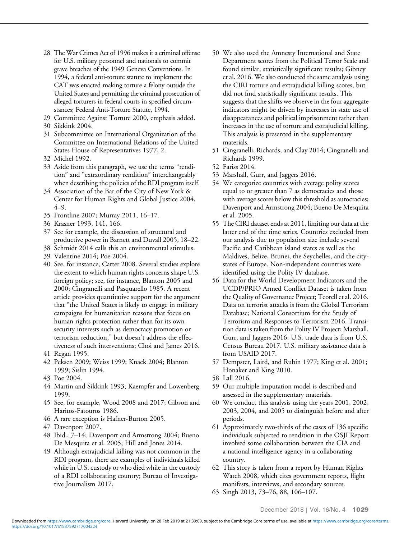- 28 The War Crimes Act of 1996 makes it a criminal offense for U.S. military personnel and nationals to commit grave breaches of the 1949 Geneva Conventions. In 1994, a federal anti-torture statute to implement the CAT was enacted making torture a felony outside the United States and permitting the criminal prosecution of alleged torturers in federal courts in specified circumstances; Federal Anti-Torture Statute, 1994.
- 29 Committee Against Torture 2000, emphasis added.
- 30 Sikkink 2004.
- 31 Subcommittee on International Organization of the Committee on International Relations of the United States House of Representatives 1977, 2.
- 32 Michel 1992.
- 33 Aside from this paragraph, we use the terms "rendition" and "extraordinary rendition" interchangeably when describing the policies of the RDI program itself.
- 34 Association of the Bar of the City of New York & Center for Human Rights and Global Justice 2004, 4–9.
- 35 Frontline 2007; Murray 2011, 16–17.
- 36 Krasner 1993, 141, 166.
- 37 See for example, the discussion of structural and productive power in Barnett and Duvall 2005, 18–22.
- 38 Schmidt 2014 calls this an environmental stimulus.
- 39 Valentine 2014; Poe 2004.
- 40 See, for instance, Carter 2008. Several studies explore the extent to which human rights concerns shape U.S. foreign policy; see, for instance, Blanton 2005 and 2000; Cingranelli and Pasquarello 1985. A recent article provides quantitative support for the argument that "the United States is likely to engage in military campaigns for humanitarian reasons that focus on human rights protection rather than for its own security interests such as democracy promotion or terrorism reduction," but doesn't address the effectiveness of such interventions; Choi and James 2016.
- 41 Regan 1995.
- 42 Peksen 2009; Weiss 1999; Knack 2004; Blanton 1999; Sislin 1994.
- 43 Poe 2004.
- 44 Martin and Sikkink 1993; Kaempfer and Lowenberg 1999.
- 45 See, for example, Wood 2008 and 2017; Gibson and Haritos-Fatouros 1986.
- 46 A rare exception is Hafner-Burton 2005.
- 47 Davenport 2007.
- 48 Ibid., 7–14; Davenport and Armstrong 2004; Bueno De Mesquita et al. 2005; Hill and Jones 2014.
- 49 Although extrajudicial killing was not common in the RDI program, there are examples of individuals killed while in U.S. custody or who died while in the custody of a RDI collaborating country; Bureau of Investigative Journalism 2017.
- 50 We also used the Amnesty International and State Department scores from the Political Terror Scale and found similar, statistically significant results; Gibney et al. 2016. We also conducted the same analysis using the CIRI torture and extrajudicial killing scores, but did not find statistically significant results. This suggests that the shifts we observe in the four aggregate indicators might be driven by increases in state use of disappearances and political imprisonment rather than increases in the use of torture and extrajudicial killing. This analysis is presented in the supplementary materials.
- 51 Cingranelli, Richards, and Clay 2014; Cingranelli and Richards 1999.
- 52 Fariss 2014.
- 53 Marshall, Gurr, and Jaggers 2016.
- 54 We categorize countries with average polity scores equal to or greater than 7 as democracies and those with average scores below this threshold as autocracies; Davenport and Armstrong 2004; Bueno De Mesquita et al. 2005.
- 55 The CIRI dataset ends at 2011, limiting our data at the latter end of the time series. Countries excluded from our analysis due to population size include several Pacific and Caribbean island states as well as the Maldives, Belize, Brunei, the Seychelles, and the citystates of Europe. Non-independent countries were identified using the Polity IV database.
- 56 Data for the World Development Indicators and the UCDP/PRIO Armed Conflict Dataset is taken from the Quality of Governance Project; Teorell et al. 2016. Data on terrorist attacks is from the Global Terrorism Database; National Consortium for the Study of Terrorism and Responses to Terrorism 2016. Transition data is taken from the Polity IV Project; Marshall, Gurr, and Jaggers 2016. U.S. trade data is from U.S. Census Bureau 2017. U.S. military assistance data is from USAID 2017.
- 57 Dempster, Laird, and Rubin 1977; King et al. 2001; Honaker and King 2010.
- 58 Lall 2016.
- 59 Our multiple imputation model is described and assessed in the supplementary materials.
- 60 We conduct this analysis using the years 2001, 2002, 2003, 2004, and 2005 to distinguish before and after periods.
- 61 Approximately two-thirds of the cases of 136 specific individuals subjected to rendition in the OSJI Report involved some collaboration between the CIA and a national intelligence agency in a collaborating country.
- 62 This story is taken from a report by Human Rights Watch 2008, which cites government reports, flight manifests, interviews, and secondary sources.
- 63 Singh 2013, 73–76, 88, 106–107.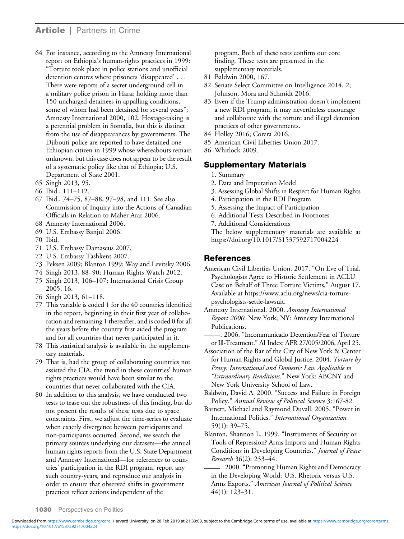- 64 For instance, according to the Amnesty International report on Ethiopia's human-rights practices in 1999: "Torture took place in police stations and unofficial detention centres where prisoners 'disappeared' ... There were reports of a secret underground cell in a military police prison in Harar holding more than 150 uncharged detainees in appalling conditions, some of whom had been detained for several years"; Amnesty International 2000, 102. Hostage-taking is a perennial problem in Somalia, but this is distinct from the use of disappearances by governments. The Djibouti police are reported to have detained one Ethiopian citizen in 1999 whose whereabouts remain unknown, but this case does not appear to be the result of a systematic policy like that of Ethiopia; U.S. Department of State 2001.
- 65 Singh 2013, 95.
- 66 Ibid., 111–112.
- 67 Ibid., 74–75, 87–88, 97–98, and 111. See also Commission of Inquiry into the Actions of Canadian Officials in Relation to Maher Arar 2006.
- 68 Amnesty International 2006.
- 69 U.S. Embassy Banjul 2006.
- 70 Ibid.
- 71 U.S. Embassy Damascus 2007.
- 72 U.S. Embassy Tashkent 2007.
- 73 Peksen 2009; Blanton 1999; Way and Levitsky 2006.
- 74 Singh 2013, 88–90; Human Rights Watch 2012.
- 75 Singh 2013, 106–107; International Crisis Group 2005, 16.
- 76 Singh 2013, 61–118.
- 77 This variable is coded 1 for the 40 countries identified in the report, beginning in their first year of collaboration and remaining 1 thereafter, and is coded 0 for all the years before the country first aided the program and for all countries that never participated in it.
- 78 This statistical analysis is available in the supplementary materials.
- 79 That is, had the group of collaborating countries not assisted the CIA, the trend in these countries' human rights practices would have been similar to the countries that never collaborated with the CIA.
- 80 In addition to this analysis, we have conducted two tests to tease out the robustness of this finding, but do not present the results of these tests due to space constraints. First, we adjust the time-series to evaluate when exactly divergence between participants and non-participants occurred. Second, we search the primary sources underlying our datasets—the annual human rights reports from the U.S. State Department and Amnesty International—for references to countries' participation in the RDI program, report any such country-years, and reproduce our analysis in order to ensure that observed shifts in government practices reflect actions independent of the

program. Both of these tests confirm our core finding. These tests are presented in the supplementary materials.

- 81 Baldwin 2000, 167.
- 82 Senate Select Committee on Intelligence 2014, 2; Johnson, Mora and Schmidt 2016.
- 83 Even if the Trump administration doesn't implement a new RDI program, it may nevertheless encourage and collaborate with the torture and illegal detention practices of other governments.
- 84 Holley 2016; Corera 2016.
- 85 American Civil Liberties Union 2017.
- 86 Whitlock 2009.

## Supplementary Materials

- 1. Summary
- 2. Data and Imputation Model
- 3. Assessing Global Shifts in Respect for Human Rights
- 4. Participation in the RDI Program
- 5. Assessing the Impact of Participation
- 6. Additional Tests Described in Footnotes
- 7. Additional Considerations

The below supplementary materials are available at <https://doi.org/10.1017/S1537592717004224>

## References

- American Civil Liberties Union. 2017. "On Eve of Trial, Psychologists Agree to Historic Settlement in ACLU Case on Behalf of Three Torture Victims," August 17. Available at [https://www.aclu.org/news/cia-torture](https://www.aclu.org/news/cia-torture-psychologists-settle-lawsuit)[psychologists-settle-lawsuit.](https://www.aclu.org/news/cia-torture-psychologists-settle-lawsuit)
- Amnesty International. 2000. Amnesty International Report 2000. New York, NY: Amnesty International Publications.
- . 2006. "Incommunicado Detention/Fear of Torture or Ill-Treatment." AI Index: AFR 27/005/2006, April 25.
- Association of the Bar of the City of New York & Center for Human Rights and Global Justice. 2004. Torture by Proxy: International and Domestic Law Applicable to "Extraordinary Renditions." New York: ABCNY and New York University School of Law.
- Baldwin, David A. 2000. "Success and Failure in Foreign Policy." Annual Review of Political Science 3:167-82.
- Barnett, Michael and Raymond Duvall. 2005. "Power in International Politics." International Organization 59(1): 39–75.
- Blanton, Shannon L. 1999. "Instruments of Security or Tools of Repression? Arms Imports and Human Rights Conditions in Developing Countries." Journal of Peace Research 36(2): 233–44.
- . 2000. "Promoting Human Rights and Democracy in the Developing World: U.S. Rhetoric versus U.S. Arms Exports." American Journal of Political Science 44(1): 123–31.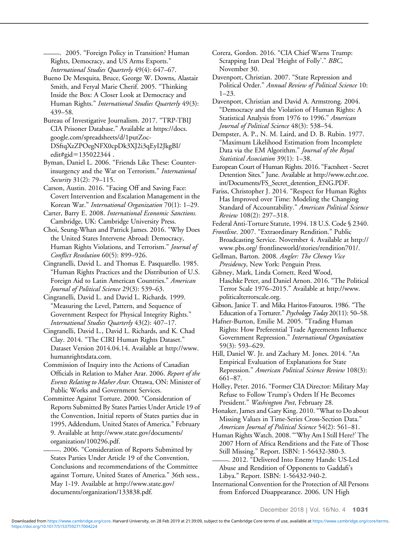. 2005. "Foreign Policy in Transition? Human Rights, Democracy, and US Arms Exports." International Studies Quarterly 49(4): 647–67.

Bueno De Mesquita, Bruce, George W. Downs, Alastair Smith, and Feryal Marie Cherif. 2005. "Thinking Inside the Box: A Closer Look at Democracy and Human Rights." International Studies Quarterly 49(3): 439–58.

Bureau of Investigative Journalism. 2017. "TRP-TBIJ CIA Prisoner Database." Available at [https://docs.](https://docs.google.com/spreadsheets/d/1putZoc-DSftqXzZPOegNFX0cpDk3XJ2i3qEyI2JkgBI/edit#gid=135022344) [google.com/spreadsheets/d/1putZoc-](https://docs.google.com/spreadsheets/d/1putZoc-DSftqXzZPOegNFX0cpDk3XJ2i3qEyI2JkgBI/edit#gid=135022344)[DSftqXzZPOegNFX0cpDk3XJ2i3qEyI2JkgBI/](https://docs.google.com/spreadsheets/d/1putZoc-DSftqXzZPOegNFX0cpDk3XJ2i3qEyI2JkgBI/edit#gid=135022344) [edit#gid](https://docs.google.com/spreadsheets/d/1putZoc-DSftqXzZPOegNFX0cpDk3XJ2i3qEyI2JkgBI/edit#gid=135022344)= $135022344$ .

Byman, Daniel L. 2006. "Friends Like These: Counterinsurgency and the War on Terrorism." International Security 31(2): 79-115.

Carson, Austin. 2016. "Facing Off and Saving Face: Covert Intervention and Escalation Management in the Korean War." International Organization 70(1): 1-29.

Carter, Barry E. 2008. International Economic Sanctions. Cambridge, UK: Cambridge University Press.

Choi, Seung-Whan and Patrick James. 2016. "Why Does the United States Intervene Abroad: Democracy, Human Rights Violations, and Terrorism." Journal of Conflict Resolution 60(5): 899–926.

Cingranelli, David L. and Thomas E. Pasquarello. 1985. "Human Rights Practices and the Distribution of U.S. Foreign Aid to Latin American Countries." American Journal of Political Science 29(3): 539–63.

Cingranelli, David L. and David L. Richards. 1999. "Measuring the Level, Pattern, and Sequence of Government Respect for Physical Integrity Rights." International Studies Quarterly 43(2): 407–17.

Cingranelli, David L., David L. Richards, and K. Chad Clay. 2014. "The CIRI Human Rights Dataset." Dataset Version 2014.04.14. Available at [http://www.](http://www.humanrightsdata.com) [humanrightsdata.com.](http://www.humanrightsdata.com)

Commission of Inquiry into the Actions of Canadian Officials in Relation to Maher Arar. 2006. Report of the Events Relating to Maher Arar. Ottawa, ON: Minister of Public Works and Government Services.

Committee Against Torture. 2000. "Consideration of Reports Submitted By States Parties Under Article 19 of the Convention, Initial reports of States parties due in 1995, Addendum, United States of America." February 9. Available at [http://www.state.gov/documents/](http://www.state.gov/documents/organization/100296.pdf) [organization/100296.pdf](http://www.state.gov/documents/organization/100296.pdf).

. 2006. "Consideration of Reports Submitted by States Parties Under Article 19 of the Convention, Conclusions and recommendations of the Committee against Torture, United States of America." 36th sess., May 1-19. Available at [http://www.state.gov/](http://www.state.gov/documents/organization/133838.pdf) [documents/organization/133838.pdf.](http://www.state.gov/documents/organization/133838.pdf)

Corera, Gordon. 2016. "CIA Chief Warns Trump: Scrapping Iran Deal 'Height of Folly'." BBC, November 30.

Davenport, Christian. 2007. "State Repression and Political Order." Annual Review of Political Science 10: 1–23.

Davenport, Christian and David A. Armstrong. 2004. "Democracy and the Violation of Human Rights: A Statistical Analysis from 1976 to 1996." American Journal of Political Science 48(3): 538–54.

Dempster, A. P., N. M. Laird, and D. B. Rubin. 1977. "Maximum Likelihood Estimation from Incomplete Data via the EM Algorithm." Journal of the Royal Statistical Association 39(1): 1–38.

European Court of Human Rights. 2016."Factsheet - Secret Detention Sites." June. Available at [http://www.echr.coe.](http://www.echr.coe.int/Documents/FS_Secret_detention_ENG.PDF) [int/Documents/FS\\_Secret\\_detention\\_ENG.PDF](http://www.echr.coe.int/Documents/FS_Secret_detention_ENG.PDF).

Fariss, Christopher J. 2014. "Respect for Human Rights Has Improved over Time: Modeling the Changing Standard of Accountability." American Political Science Review 108(2): 297–318.

Federal Anti-Torture Statute, 1994. 18 U.S. Code § 2340.

Frontline. 2007. "Extraordinary Rendition." Public Broadcasting Service. November 4. Available at [http://](http://www.pbs.org/%20frontlineworld/stories/rendition701/) [www.pbs.org/ frontlineworld/stories/rendition701/.](http://www.pbs.org/%20frontlineworld/stories/rendition701/)

Gellman, Barton. 2008. Angler: The Cheney Vice Presidency, New York: Penguin Press.

Gibney, Mark, Linda Cornett, Reed Wood, Haschke Peter, and Daniel Arnon. 2016. "The Political Terror Scale 1976–2015." Available at [http://www.](http://www.politicalterrorscale.org) [politicalterrorscale.org](http://www.politicalterrorscale.org).

Gibson, Janice T. and Mika Haritos-Fatouros. 1986. "The Education of a Torturer." Psychology Today 20(11): 50-58.

Hafner-Burton, Emilie M. 2005. "Trading Human Rights: How Preferential Trade Agreements Influence Government Repression." International Organization 59(3): 593–629.

Hill, Daniel W. Jr. and Zachary M. Jones. 2014. "An Empirical Evaluation of Explanations for State Repression." American Political Science Review 108(3): 661–87.

Holley, Peter. 2016. "Former CIA Director: Military May Refuse to Follow Trump's Orders If He Becomes President." Washington Post, February 28.

Honaker, James and Gary King. 2010."What to Do about Missing Values in Time-Series Cross-Section Data." American Journal of Political Science 54(2): 561–81.

Human Rights Watch. 2008."'Why Am I Still Here?' The 2007 Horn of Africa Renditions and the Fate of Those Still Missing." Report. ISBN: 1-56432-380-3.

. 2012. "Delivered Into Enemy Hands: US-Led Abuse and Rendition of Opponents to Gaddafi's Libya." Report. ISBN: 1-56432-940-2.

International Convention for the Protection of All Persons from Enforced Disappearance. 2006. UN High

December 2018 | Vol. 16/No. 4 **1031**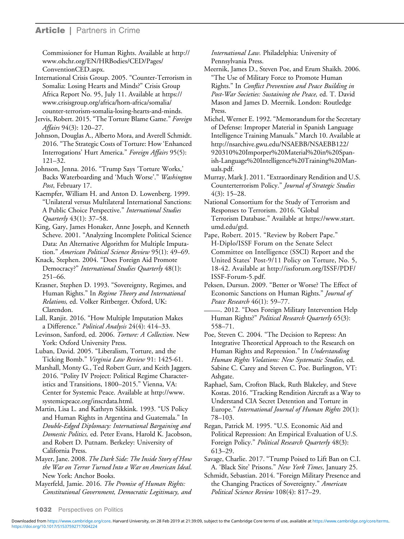Commissioner for Human Rights. Available at [http://](http://www.ohchr.org/EN/HRBodies/CED/Pages/ConventionCED.aspx) [www.ohchr.org/EN/HRBodies/CED/Pages/](http://www.ohchr.org/EN/HRBodies/CED/Pages/ConventionCED.aspx) [ConventionCED.aspx](http://www.ohchr.org/EN/HRBodies/CED/Pages/ConventionCED.aspx).

International Crisis Group. 2005. "Counter-Terrorism in Somalia: Losing Hearts and Minds?" Crisis Group Africa Report No. 95, July 11. Available at [https://](https://www.crisisgroup.org/africa/horn-africa/somalia/counter-terrorism-somalia-losing-hearts-and-minds) [www.crisisgroup.org/africa/horn-africa/somalia/](https://www.crisisgroup.org/africa/horn-africa/somalia/counter-terrorism-somalia-losing-hearts-and-minds) [counter-terrorism-somalia-losing-hearts-and-minds.](https://www.crisisgroup.org/africa/horn-africa/somalia/counter-terrorism-somalia-losing-hearts-and-minds)

- Jervis, Robert. 2015. "The Torture Blame Game." Foreign Affairs 94(3): 120–27.
- Johnson, Douglas A., Alberto Mora, and Averell Schmidt. 2016. "The Strategic Costs of Torture: How 'Enhanced Interrogations' Hurt America." Foreign Affairs 95(5): 121–32.
- Johnson, Jenna. 2016. "Trump Says 'Torture Works,' Backs Waterboarding and 'Much Worse'." Washington Post, February 17.
- Kaempfer, William H. and Anton D. Lowenberg. 1999. "Unilateral versus Multilateral International Sanctions: A Public Choice Perspective." International Studies Quarterly 43(1): 37–58.
- King, Gary, James Honaker, Anne Joseph, and Kenneth Scheve. 2001. "Analyzing Incomplete Political Science Data: An Alternative Algorithm for Multiple Imputation." American Political Science Review 95(1): 49–69.
- Knack, Stephen. 2004. "Does Foreign Aid Promote Democracy?" International Studies Quarterly 48(1): 251–66.
- Krasner, Stephen D. 1993. "Sovereignty, Regimes, and Human Rights." In Regime Theory and International Relations, ed. Volker Rittberger. Oxford, UK: Clarendon.
- Lall, Ranjit. 2016. "How Multiple Imputation Makes a Difference." Political Analysis 24(4): 414–33.

Levinson, Sanford, ed. 2006. Torture: A Collection. New York: Oxford University Press.

- Luban, David. 2005. "Liberalism, Torture, and the Ticking Bomb." Virginia Law Review 91: 1425-61.
- Marshall, Monty G., Ted Robert Gurr, and Keith Jaggers. 2016. "Polity IV Project: Political Regime Characteristics and Transitions, 1800–2015." Vienna, VA: Center for Systemic Peace. Available at [http://www.](http://www.systemicpeace.org/inscrdata.html) [systemicpeace.org/inscrdata.html.](http://www.systemicpeace.org/inscrdata.html)
- Martin, Lisa L. and Kathryn Sikkink. 1993. "US Policy and Human Rights in Argentina and Guatemala." In Double-Edged Diplomacy: International Bargaining and Domestic Politics, ed. Peter Evans, Harold K. Jacobson, and Robert D. Putnam. Berkeley: University of California Press.
- Mayer, Jane. 2008. The Dark Side: The Inside Story of How the War on Terror Turned Into a War on American Ideal. New York: Anchor Books.
- Mayerfeld, Jamie. 2016. The Promise of Human Rights: Constitutional Government, Democratic Legitimacy, and

International Law. Philadelphia: University of Pennsylvania Press.

- Meernik, James D., Steven Poe, and Erum Shaikh. 2006. "The Use of Military Force to Promote Human Rights." In Conflict Prevention and Peace Building in Post-War Societies: Sustaining the Peace, ed. T. David Mason and James D. Meernik. London: Routledge Press.
- Michel, Werner E. 1992."Memorandum for the Secretary of Defense: Improper Material in Spanish Language Intelligence Training Manuals." March 10. Available at [http://nsarchive.gwu.edu/NSAEBB/NSAEBB122/](http://nsarchive.gwu.edu/NSAEBB/NSAEBB122/920310%20Imporper%20Material%20in%20Spanish-Language%20Intelligence%20Training%20Manuals.pdf) [920310%20Imporper%20Material%20in%20Span](http://nsarchive.gwu.edu/NSAEBB/NSAEBB122/920310%20Imporper%20Material%20in%20Spanish-Language%20Intelligence%20Training%20Manuals.pdf)[ish-Language%20Intelligence%20Training%20Man](http://nsarchive.gwu.edu/NSAEBB/NSAEBB122/920310%20Imporper%20Material%20in%20Spanish-Language%20Intelligence%20Training%20Manuals.pdf)[uals.pdf.](http://nsarchive.gwu.edu/NSAEBB/NSAEBB122/920310%20Imporper%20Material%20in%20Spanish-Language%20Intelligence%20Training%20Manuals.pdf)
- Murray, Mark J. 2011."Extraordinary Rendition and U.S. Counterterrorism Policy." Journal of Strategic Studies 4(3): 15–28.
- National Consortium for the Study of Terrorism and Responses to Terrorism. 2016. "Global Terrorism Database." Available at [https://www.start.](https://www.start.umd.edu/gtd) [umd.edu/gtd.](https://www.start.umd.edu/gtd)
- Pape, Robert. 2015. "Review by Robert Pape." H-Diplo/ISSF Forum on the Senate Select Committee on Intelligence (SSCI) Report and the United States' Post-9/11 Policy on Torture, No. 5, 18-42. Available at [http://issforum.org/ISSF/PDF/](http://issforum.org/ISSF/PDF/ISSF-Forum-5.pdf) [ISSF-Forum-5.pdf.](http://issforum.org/ISSF/PDF/ISSF-Forum-5.pdf)
- Peksen, Dursun. 2009. "Better or Worse? The Effect of Economic Sanctions on Human Rights." Journal of Peace Research 46(1): 59–77.
- . 2012. "Does Foreign Military Intervention Help Human Rights?" Political Research Quarterly 65(3): 558–71.
- Poe, Steven C. 2004. "The Decision to Repress: An Integrative Theoretical Approach to the Research on Human Rights and Repression." In Understanding Human Rights Violations: New Systematic Studies, ed. Sabine C. Carey and Steven C. Poe. Burlington, VT: Ashgate.
- Raphael, Sam, Crofton Black, Ruth Blakeley, and Steve Kostas. 2016. "Tracking Rendition Aircraft as a Way to Understand CIA Secret Detention and Torture in Europe." International Journal of Human Rights 20(1): 78–103.
- Regan, Patrick M. 1995. "U.S. Economic Aid and Political Repression: An Empirical Evaluation of U.S. Foreign Policy." Political Research Quarterly 48(3): 613–29.
- Savage, Charlie. 2017. "Trump Poised to Lift Ban on C.I. A. 'Black Site' Prisons." New York Times, January 25.
- Schmidt, Sebastian. 2014. "Foreign Military Presence and the Changing Practices of Sovereignty." American Political Science Review 108(4): 817–29.